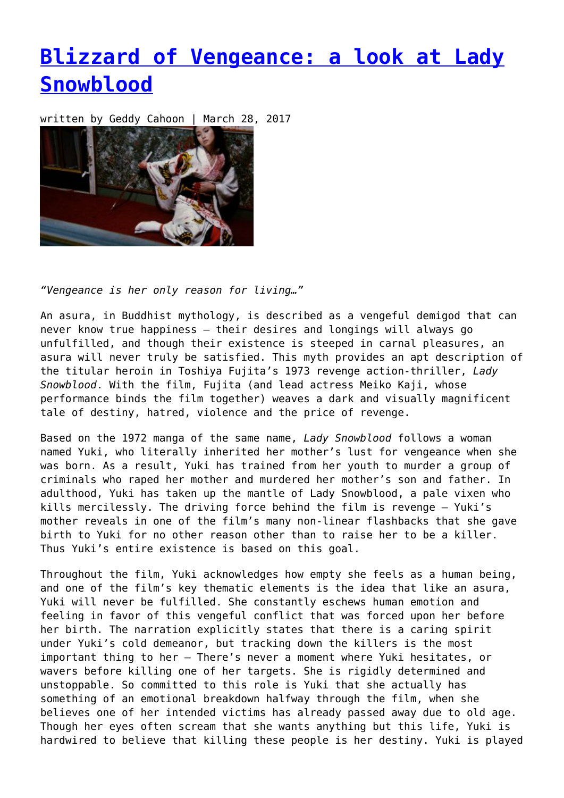## **[Blizzard of Vengeance: a look at Lady](https://entropymag.org/blizzard-of-vengeance-a-look-at-lady-snowblood/) [Snowblood](https://entropymag.org/blizzard-of-vengeance-a-look-at-lady-snowblood/)**

written by Geddy Cahoon | March 28, 2017



*"Vengeance is her only reason for living…"*

An asura, in Buddhist mythology, is described as a vengeful demigod that can never know true happiness – their desires and longings will always go unfulfilled, and though their existence is steeped in carnal pleasures, an asura will never truly be satisfied. This myth provides an apt description of the titular heroin in Toshiya Fujita's 1973 revenge action-thriller, *Lady Snowblood*. With the film, Fujita (and lead actress Meiko Kaji, whose performance binds the film together) weaves a dark and visually magnificent tale of destiny, hatred, violence and the price of revenge.

Based on the 1972 manga of the same name, *Lady Snowblood* follows a woman named Yuki, who literally inherited her mother's lust for vengeance when she was born. As a result, Yuki has trained from her youth to murder a group of criminals who raped her mother and murdered her mother's son and father. In adulthood, Yuki has taken up the mantle of Lady Snowblood, a pale vixen who kills mercilessly. The driving force behind the film is revenge – Yuki's mother reveals in one of the film's many non-linear flashbacks that she gave birth to Yuki for no other reason other than to raise her to be a killer. Thus Yuki's entire existence is based on this goal.

Throughout the film, Yuki acknowledges how empty she feels as a human being, and one of the film's key thematic elements is the idea that like an asura, Yuki will never be fulfilled. She constantly eschews human emotion and feeling in favor of this vengeful conflict that was forced upon her before her birth. The narration explicitly states that there is a caring spirit under Yuki's cold demeanor, but tracking down the killers is the most important thing to her – There's never a moment where Yuki hesitates, or wavers before killing one of her targets. She is rigidly determined and unstoppable. So committed to this role is Yuki that she actually has something of an emotional breakdown halfway through the film, when she believes one of her intended victims has already passed away due to old age. Though her eyes often scream that she wants anything but this life, Yuki is hardwired to believe that killing these people is her destiny. Yuki is played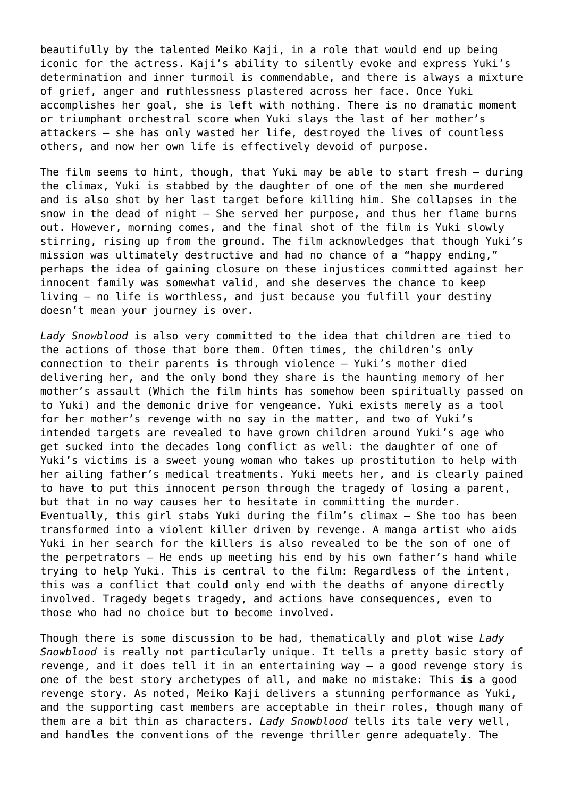beautifully by the talented Meiko Kaji, in a role that would end up being iconic for the actress. Kaji's ability to silently evoke and express Yuki's determination and inner turmoil is commendable, and there is always a mixture of grief, anger and ruthlessness plastered across her face. Once Yuki accomplishes her goal, she is left with nothing. There is no dramatic moment or triumphant orchestral score when Yuki slays the last of her mother's attackers – she has only wasted her life, destroyed the lives of countless others, and now her own life is effectively devoid of purpose.

The film seems to hint, though, that Yuki may be able to start fresh – during the climax, Yuki is stabbed by the daughter of one of the men she murdered and is also shot by her last target before killing him. She collapses in the snow in the dead of night – She served her purpose, and thus her flame burns out. However, morning comes, and the final shot of the film is Yuki slowly stirring, rising up from the ground. The film acknowledges that though Yuki's mission was ultimately destructive and had no chance of a "happy ending," perhaps the idea of gaining closure on these injustices committed against her innocent family was somewhat valid, and she deserves the chance to keep living – no life is worthless, and just because you fulfill your destiny doesn't mean your journey is over.

*Lady Snowblood* is also very committed to the idea that children are tied to the actions of those that bore them. Often times, the children's only connection to their parents is through violence – Yuki's mother died delivering her, and the only bond they share is the haunting memory of her mother's assault (Which the film hints has somehow been spiritually passed on to Yuki) and the demonic drive for vengeance. Yuki exists merely as a tool for her mother's revenge with no say in the matter, and two of Yuki's intended targets are revealed to have grown children around Yuki's age who get sucked into the decades long conflict as well: the daughter of one of Yuki's victims is a sweet young woman who takes up prostitution to help with her ailing father's medical treatments. Yuki meets her, and is clearly pained to have to put this innocent person through the tragedy of losing a parent, but that in no way causes her to hesitate in committing the murder. Eventually, this girl stabs Yuki during the film's climax – She too has been transformed into a violent killer driven by revenge. A manga artist who aids Yuki in her search for the killers is also revealed to be the son of one of the perpetrators – He ends up meeting his end by his own father's hand while trying to help Yuki. This is central to the film: Regardless of the intent, this was a conflict that could only end with the deaths of anyone directly involved. Tragedy begets tragedy, and actions have consequences, even to those who had no choice but to become involved.

Though there is some discussion to be had, thematically and plot wise *Lady Snowblood* is really not particularly unique. It tells a pretty basic story of revenge, and it does tell it in an entertaining way – a good revenge story is one of the best story archetypes of all, and make no mistake: This **is** a good revenge story. As noted, Meiko Kaji delivers a stunning performance as Yuki, and the supporting cast members are acceptable in their roles, though many of them are a bit thin as characters. *Lady Snowblood* tells its tale very well, and handles the conventions of the revenge thriller genre adequately. The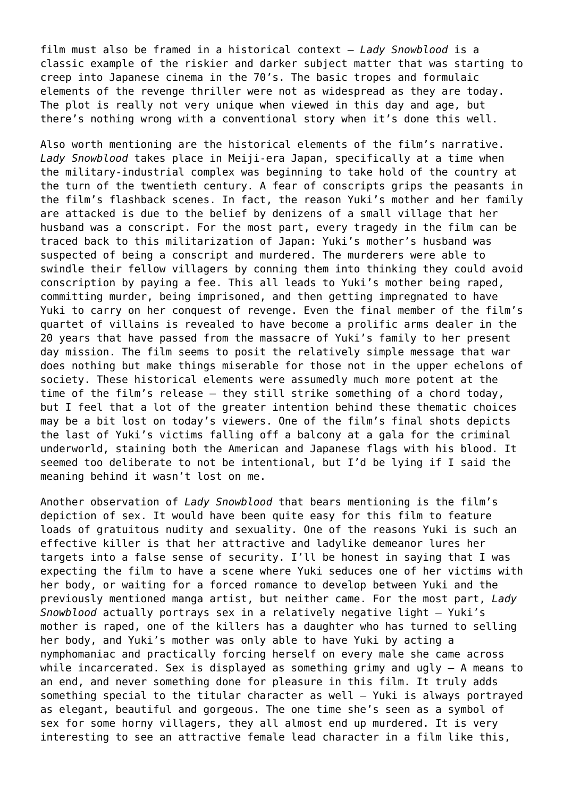film must also be framed in a historical context – *Lady Snowblood* is a classic example of the riskier and darker subject matter that was starting to creep into Japanese cinema in the 70's. The basic tropes and formulaic elements of the revenge thriller were not as widespread as they are today. The plot is really not very unique when viewed in this day and age, but there's nothing wrong with a conventional story when it's done this well.

Also worth mentioning are the historical elements of the film's narrative. *Lady Snowblood* takes place in Meiji-era Japan, specifically at a time when the military-industrial complex was beginning to take hold of the country at the turn of the twentieth century. A fear of conscripts grips the peasants in the film's flashback scenes. In fact, the reason Yuki's mother and her family are attacked is due to the belief by denizens of a small village that her husband was a conscript. For the most part, every tragedy in the film can be traced back to this militarization of Japan: Yuki's mother's husband was suspected of being a conscript and murdered. The murderers were able to swindle their fellow villagers by conning them into thinking they could avoid conscription by paying a fee. This all leads to Yuki's mother being raped, committing murder, being imprisoned, and then getting impregnated to have Yuki to carry on her conquest of revenge. Even the final member of the film's quartet of villains is revealed to have become a prolific arms dealer in the 20 years that have passed from the massacre of Yuki's family to her present day mission. The film seems to posit the relatively simple message that war does nothing but make things miserable for those not in the upper echelons of society. These historical elements were assumedly much more potent at the time of the film's release – they still strike something of a chord today, but I feel that a lot of the greater intention behind these thematic choices may be a bit lost on today's viewers. One of the film's final shots depicts the last of Yuki's victims falling off a balcony at a gala for the criminal underworld, staining both the American and Japanese flags with his blood. It seemed too deliberate to not be intentional, but I'd be lying if I said the meaning behind it wasn't lost on me.

Another observation of *Lady Snowblood* that bears mentioning is the film's depiction of sex. It would have been quite easy for this film to feature loads of gratuitous nudity and sexuality. One of the reasons Yuki is such an effective killer is that her attractive and ladylike demeanor lures her targets into a false sense of security. I'll be honest in saying that I was expecting the film to have a scene where Yuki seduces one of her victims with her body, or waiting for a forced romance to develop between Yuki and the previously mentioned manga artist, but neither came. For the most part, *Lady Snowblood* actually portrays sex in a relatively negative light – Yuki's mother is raped, one of the killers has a daughter who has turned to selling her body, and Yuki's mother was only able to have Yuki by acting a nymphomaniac and practically forcing herself on every male she came across while incarcerated. Sex is displayed as something grimy and ugly – A means to an end, and never something done for pleasure in this film. It truly adds something special to the titular character as well – Yuki is always portrayed as elegant, beautiful and gorgeous. The one time she's seen as a symbol of sex for some horny villagers, they all almost end up murdered. It is very interesting to see an attractive female lead character in a film like this,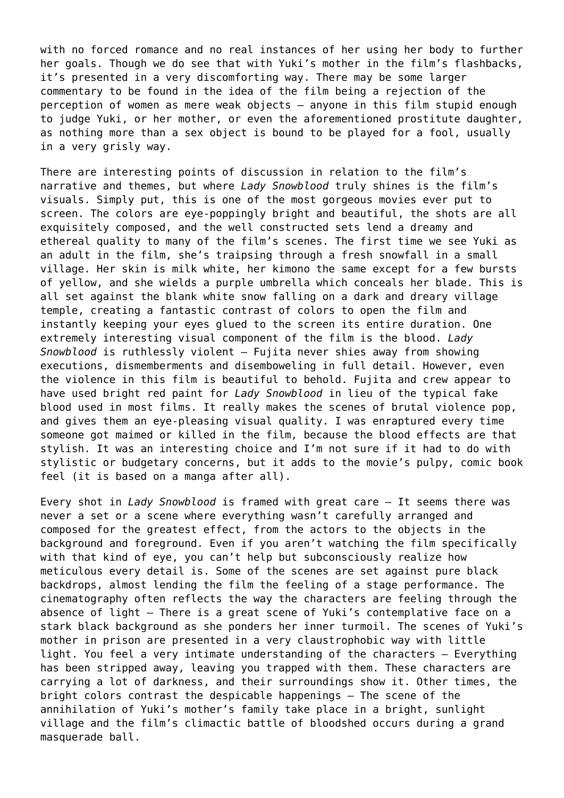with no forced romance and no real instances of her using her body to further her goals. Though we do see that with Yuki's mother in the film's flashbacks, it's presented in a very discomforting way. There may be some larger commentary to be found in the idea of the film being a rejection of the perception of women as mere weak objects – anyone in this film stupid enough to judge Yuki, or her mother, or even the aforementioned prostitute daughter, as nothing more than a sex object is bound to be played for a fool, usually in a very grisly way.

There are interesting points of discussion in relation to the film's narrative and themes, but where *Lady Snowblood* truly shines is the film's visuals. Simply put, this is one of the most gorgeous movies ever put to screen. The colors are eye-poppingly bright and beautiful, the shots are all exquisitely composed, and the well constructed sets lend a dreamy and ethereal quality to many of the film's scenes. The first time we see Yuki as an adult in the film, she's traipsing through a fresh snowfall in a small village. Her skin is milk white, her kimono the same except for a few bursts of yellow, and she wields a purple umbrella which conceals her blade. This is all set against the blank white snow falling on a dark and dreary village temple, creating a fantastic contrast of colors to open the film and instantly keeping your eyes glued to the screen its entire duration. One extremely interesting visual component of the film is the blood. *Lady Snowblood* is ruthlessly violent – Fujita never shies away from showing executions, dismemberments and disemboweling in full detail. However, even the violence in this film is beautiful to behold. Fujita and crew appear to have used bright red paint for *Lady Snowblood* in lieu of the typical fake blood used in most films. It really makes the scenes of brutal violence pop, and gives them an eye-pleasing visual quality. I was enraptured every time someone got maimed or killed in the film, because the blood effects are that stylish. It was an interesting choice and I'm not sure if it had to do with stylistic or budgetary concerns, but it adds to the movie's pulpy, comic book feel (it is based on a manga after all).

Every shot in *Lady Snowblood* is framed with great care – It seems there was never a set or a scene where everything wasn't carefully arranged and composed for the greatest effect, from the actors to the objects in the background and foreground. Even if you aren't watching the film specifically with that kind of eye, you can't help but subconsciously realize how meticulous every detail is. Some of the scenes are set against pure black backdrops, almost lending the film the feeling of a stage performance. The cinematography often reflects the way the characters are feeling through the absence of light – There is a great scene of Yuki's contemplative face on a stark black background as she ponders her inner turmoil. The scenes of Yuki's mother in prison are presented in a very claustrophobic way with little light. You feel a very intimate understanding of the characters – Everything has been stripped away, leaving you trapped with them. These characters are carrying a lot of darkness, and their surroundings show it. Other times, the bright colors contrast the despicable happenings – The scene of the annihilation of Yuki's mother's family take place in a bright, sunlight village and the film's climactic battle of bloodshed occurs during a grand masquerade ball.